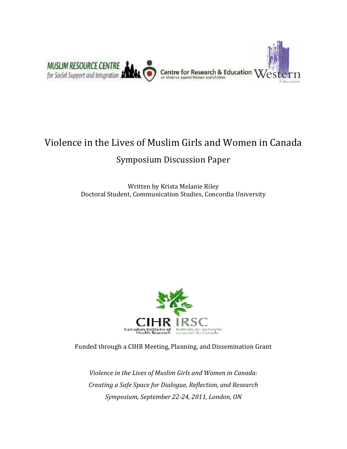

# Violence in the Lives of Muslim Girls and Women in Canada

# Symposium Discussion Paper

Written by Krista Melanie Riley Doctoral Student, Communication Studies, Concordia University



Funded through a CIHR Meeting, Planning, and Dissemination Grant

Violence in the Lives of Muslim Girls and Women in Canada: Creating a Safe Space for Dialogue, Reflection, and Research Symposium, September 22-24, 2011, London, ON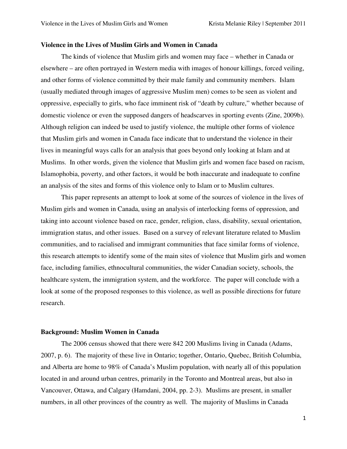# **Violence in the Lives of Muslim Girls and Women in Canada**

The kinds of violence that Muslim girls and women may face – whether in Canada or elsewhere – are often portrayed in Western media with images of honour killings, forced veiling, and other forms of violence committed by their male family and community members. Islam (usually mediated through images of aggressive Muslim men) comes to be seen as violent and oppressive, especially to girls, who face imminent risk of "death by culture," whether because of domestic violence or even the supposed dangers of headscarves in sporting events (Zine, 2009b). Although religion can indeed be used to justify violence, the multiple other forms of violence that Muslim girls and women in Canada face indicate that to understand the violence in their lives in meaningful ways calls for an analysis that goes beyond only looking at Islam and at Muslims. In other words, given the violence that Muslim girls and women face based on racism, Islamophobia, poverty, and other factors, it would be both inaccurate and inadequate to confine an analysis of the sites and forms of this violence only to Islam or to Muslim cultures.

 This paper represents an attempt to look at some of the sources of violence in the lives of Muslim girls and women in Canada, using an analysis of interlocking forms of oppression, and taking into account violence based on race, gender, religion, class, disability, sexual orientation, immigration status, and other issues. Based on a survey of relevant literature related to Muslim communities, and to racialised and immigrant communities that face similar forms of violence, this research attempts to identify some of the main sites of violence that Muslim girls and women face, including families, ethnocultural communities, the wider Canadian society, schools, the healthcare system, the immigration system, and the workforce. The paper will conclude with a look at some of the proposed responses to this violence, as well as possible directions for future research.

#### **Background: Muslim Women in Canada**

The 2006 census showed that there were 842 200 Muslims living in Canada (Adams, 2007, p. 6). The majority of these live in Ontario; together, Ontario, Quebec, British Columbia, and Alberta are home to 98% of Canada's Muslim population, with nearly all of this population located in and around urban centres, primarily in the Toronto and Montreal areas, but also in Vancouver, Ottawa, and Calgary (Hamdani, 2004, pp. 2-3). Muslims are present, in smaller numbers, in all other provinces of the country as well. The majority of Muslims in Canada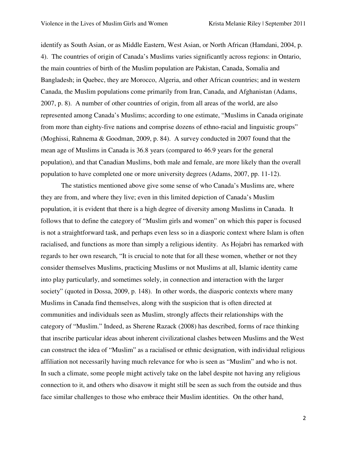identify as South Asian, or as Middle Eastern, West Asian, or North African (Hamdani, 2004, p. 4). The countries of origin of Canada's Muslims varies significantly across regions: in Ontario, the main countries of birth of the Muslim population are Pakistan, Canada, Somalia and Bangladesh; in Quebec, they are Morocco, Algeria, and other African countries; and in western Canada, the Muslim populations come primarily from Iran, Canada, and Afghanistan (Adams, 2007, p. 8). A number of other countries of origin, from all areas of the world, are also represented among Canada's Muslims; according to one estimate, "Muslims in Canada originate from more than eighty-five nations and comprise dozens of ethno-racial and linguistic groups" (Moghissi, Rahnema & Goodman, 2009, p. 84). A survey conducted in 2007 found that the mean age of Muslims in Canada is 36.8 years (compared to 46.9 years for the general population), and that Canadian Muslims, both male and female, are more likely than the overall population to have completed one or more university degrees (Adams, 2007, pp. 11-12).

The statistics mentioned above give some sense of who Canada's Muslims are, where they are from, and where they live; even in this limited depiction of Canada's Muslim population, it is evident that there is a high degree of diversity among Muslims in Canada. It follows that to define the category of "Muslim girls and women" on which this paper is focused is not a straightforward task, and perhaps even less so in a diasporic context where Islam is often racialised, and functions as more than simply a religious identity. As Hojabri has remarked with regards to her own research, "It is crucial to note that for all these women, whether or not they consider themselves Muslims, practicing Muslims or not Muslims at all, Islamic identity came into play particularly, and sometimes solely, in connection and interaction with the larger society" (quoted in Dossa, 2009, p. 148). In other words, the diasporic contexts where many Muslims in Canada find themselves, along with the suspicion that is often directed at communities and individuals seen as Muslim, strongly affects their relationships with the category of "Muslim." Indeed, as Sherene Razack (2008) has described, forms of race thinking that inscribe particular ideas about inherent civilizational clashes between Muslims and the West can construct the idea of "Muslim" as a racialised or ethnic designation, with individual religious affiliation not necessarily having much relevance for who is seen as "Muslim" and who is not. In such a climate, some people might actively take on the label despite not having any religious connection to it, and others who disavow it might still be seen as such from the outside and thus face similar challenges to those who embrace their Muslim identities. On the other hand,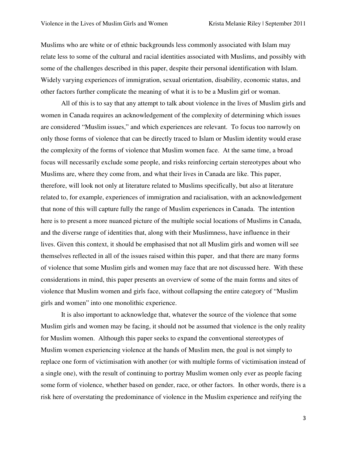Muslims who are white or of ethnic backgrounds less commonly associated with Islam may relate less to some of the cultural and racial identities associated with Muslims, and possibly with some of the challenges described in this paper, despite their personal identification with Islam. Widely varying experiences of immigration, sexual orientation, disability, economic status, and other factors further complicate the meaning of what it is to be a Muslim girl or woman.

All of this is to say that any attempt to talk about violence in the lives of Muslim girls and women in Canada requires an acknowledgement of the complexity of determining which issues are considered "Muslim issues," and which experiences are relevant. To focus too narrowly on only those forms of violence that can be directly traced to Islam or Muslim identity would erase the complexity of the forms of violence that Muslim women face. At the same time, a broad focus will necessarily exclude some people, and risks reinforcing certain stereotypes about who Muslims are, where they come from, and what their lives in Canada are like. This paper, therefore, will look not only at literature related to Muslims specifically, but also at literature related to, for example, experiences of immigration and racialisation, with an acknowledgement that none of this will capture fully the range of Muslim experiences in Canada. The intention here is to present a more nuanced picture of the multiple social locations of Muslims in Canada, and the diverse range of identities that, along with their Muslimness, have influence in their lives. Given this context, it should be emphasised that not all Muslim girls and women will see themselves reflected in all of the issues raised within this paper, and that there are many forms of violence that some Muslim girls and women may face that are not discussed here. With these considerations in mind, this paper presents an overview of some of the main forms and sites of violence that Muslim women and girls face, without collapsing the entire category of "Muslim girls and women" into one monolithic experience.

It is also important to acknowledge that, whatever the source of the violence that some Muslim girls and women may be facing, it should not be assumed that violence is the only reality for Muslim women. Although this paper seeks to expand the conventional stereotypes of Muslim women experiencing violence at the hands of Muslim men, the goal is not simply to replace one form of victimisation with another (or with multiple forms of victimisation instead of a single one), with the result of continuing to portray Muslim women only ever as people facing some form of violence, whether based on gender, race, or other factors. In other words, there is a risk here of overstating the predominance of violence in the Muslim experience and reifying the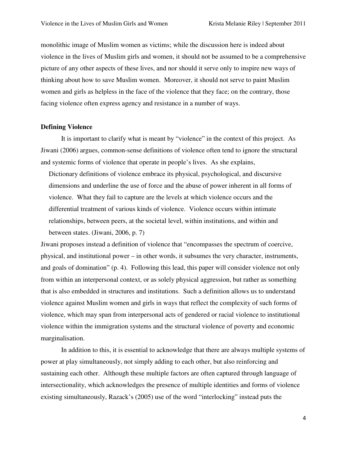monolithic image of Muslim women as victims; while the discussion here is indeed about violence in the lives of Muslim girls and women, it should not be assumed to be a comprehensive picture of any other aspects of these lives, and nor should it serve only to inspire new ways of thinking about how to save Muslim women. Moreover, it should not serve to paint Muslim women and girls as helpless in the face of the violence that they face; on the contrary, those facing violence often express agency and resistance in a number of ways.

#### **Defining Violence**

 It is important to clarify what is meant by "violence" in the context of this project. As Jiwani (2006) argues, common-sense definitions of violence often tend to ignore the structural and systemic forms of violence that operate in people's lives. As she explains,

Dictionary definitions of violence embrace its physical, psychological, and discursive dimensions and underline the use of force and the abuse of power inherent in all forms of violence. What they fail to capture are the levels at which violence occurs and the differential treatment of various kinds of violence. Violence occurs within intimate relationships, between peers, at the societal level, within institutions, and within and between states. (Jiwani, 2006, p. 7)

Jiwani proposes instead a definition of violence that "encompasses the spectrum of coercive, physical, and institutional power – in other words, it subsumes the very character, instruments, and goals of domination" (p. 4). Following this lead, this paper will consider violence not only from within an interpersonal context, or as solely physical aggression, but rather as something that is also embedded in structures and institutions. Such a definition allows us to understand violence against Muslim women and girls in ways that reflect the complexity of such forms of violence, which may span from interpersonal acts of gendered or racial violence to institutional violence within the immigration systems and the structural violence of poverty and economic marginalisation.

In addition to this, it is essential to acknowledge that there are always multiple systems of power at play simultaneously, not simply adding to each other, but also reinforcing and sustaining each other. Although these multiple factors are often captured through language of intersectionality, which acknowledges the presence of multiple identities and forms of violence existing simultaneously, Razack's (2005) use of the word "interlocking" instead puts the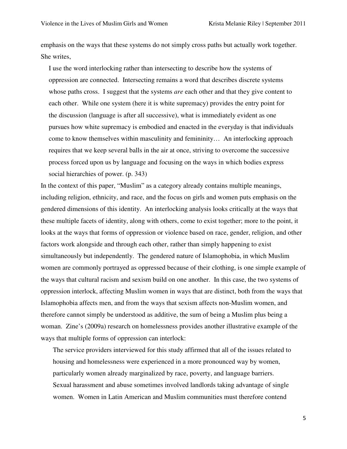emphasis on the ways that these systems do not simply cross paths but actually work together. She writes,

I use the word interlocking rather than intersecting to describe how the systems of oppression are connected. Intersecting remains a word that describes discrete systems whose paths cross. I suggest that the systems *are* each other and that they give content to each other. While one system (here it is white supremacy) provides the entry point for the discussion (language is after all successive), what is immediately evident as one pursues how white supremacy is embodied and enacted in the everyday is that individuals come to know themselves within masculinity and femininity… An interlocking approach requires that we keep several balls in the air at once, striving to overcome the successive process forced upon us by language and focusing on the ways in which bodies express social hierarchies of power. (p. 343)

In the context of this paper, "Muslim" as a category already contains multiple meanings, including religion, ethnicity, and race, and the focus on girls and women puts emphasis on the gendered dimensions of this identity. An interlocking analysis looks critically at the ways that these multiple facets of identity, along with others, come to exist together; more to the point, it looks at the ways that forms of oppression or violence based on race, gender, religion, and other factors work alongside and through each other, rather than simply happening to exist simultaneously but independently. The gendered nature of Islamophobia, in which Muslim women are commonly portrayed as oppressed because of their clothing, is one simple example of the ways that cultural racism and sexism build on one another. In this case, the two systems of oppression interlock, affecting Muslim women in ways that are distinct, both from the ways that Islamophobia affects men, and from the ways that sexism affects non-Muslim women, and therefore cannot simply be understood as additive, the sum of being a Muslim plus being a woman. Zine's (2009a) research on homelessness provides another illustrative example of the ways that multiple forms of oppression can interlock:

The service providers interviewed for this study affirmed that all of the issues related to housing and homelessness were experienced in a more pronounced way by women, particularly women already marginalized by race, poverty, and language barriers. Sexual harassment and abuse sometimes involved landlords taking advantage of single women. Women in Latin American and Muslim communities must therefore contend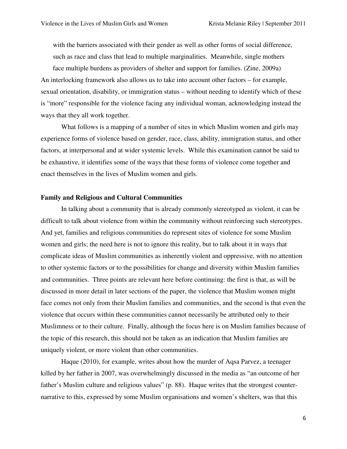with the barriers associated with their gender as well as other forms of social difference, such as race and class that lead to multiple marginalities. Meanwhile, single mothers

face multiple burdens as providers of shelter and support for families. (Zine, 2009a) An interlocking framework also allows us to take into account other factors – for example, sexual orientation, disability, or immigration status – without needing to identify which of these is "more" responsible for the violence facing any individual woman, acknowledging instead the ways that they all work together.

 What follows is a mapping of a number of sites in which Muslim women and girls may experience forms of violence based on gender, race, class, ability, immigration status, and other factors, at interpersonal and at wider systemic levels. While this examination cannot be said to be exhaustive, it identifies some of the ways that these forms of violence come together and enact themselves in the lives of Muslim women and girls.

# **Family and Religious and Cultural Communities**

 In talking about a community that is already commonly stereotyped as violent, it can be difficult to talk about violence from within the community without reinforcing such stereotypes. And yet, families and religious communities do represent sites of violence for some Muslim women and girls; the need here is not to ignore this reality, but to talk about it in ways that complicate ideas of Muslim communities as inherently violent and oppressive, with no attention to other systemic factors or to the possibilities for change and diversity within Muslim families and communities. Three points are relevant here before continuing: the first is that, as will be discussed in more detail in later sections of the paper, the violence that Muslim women might face comes not only from their Muslim families and communities, and the second is that even the violence that occurs within these communities cannot necessarily be attributed only to their Muslimness or to their culture. Finally, although the focus here is on Muslim families because of the topic of this research, this should not be taken as an indication that Muslim families are uniquely violent, or more violent than other communities.

 Haque (2010), for example, writes about how the murder of Aqsa Parvez, a teenager killed by her father in 2007, was overwhelmingly discussed in the media as "an outcome of her father's Muslim culture and religious values" (p. 88). Haque writes that the strongest counternarrative to this, expressed by some Muslim organisations and women's shelters, was that this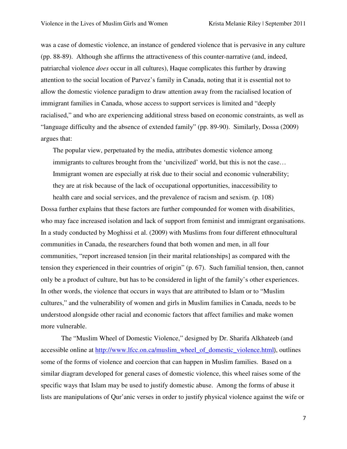was a case of domestic violence, an instance of gendered violence that is pervasive in any culture (pp. 88-89). Although she affirms the attractiveness of this counter-narrative (and, indeed, patriarchal violence *does* occur in all cultures), Haque complicates this further by drawing attention to the social location of Parvez's family in Canada, noting that it is essential not to allow the domestic violence paradigm to draw attention away from the racialised location of immigrant families in Canada, whose access to support services is limited and "deeply racialised," and who are experiencing additional stress based on economic constraints, as well as "language difficulty and the absence of extended family" (pp. 89-90). Similarly, Dossa (2009) argues that:

The popular view, perpetuated by the media, attributes domestic violence among immigrants to cultures brought from the 'uncivilized' world, but this is not the case… Immigrant women are especially at risk due to their social and economic vulnerability; they are at risk because of the lack of occupational opportunities, inaccessibility to

health care and social services, and the prevalence of racism and sexism. (p. 108) Dossa further explains that these factors are further compounded for women with disabilities, who may face increased isolation and lack of support from feminist and immigrant organisations. In a study conducted by Moghissi et al. (2009) with Muslims from four different ethnocultural communities in Canada, the researchers found that both women and men, in all four communities, "report increased tension [in their marital relationships] as compared with the tension they experienced in their countries of origin" (p. 67). Such familial tension, then, cannot only be a product of culture, but has to be considered in light of the family's other experiences. In other words, the violence that occurs in ways that are attributed to Islam or to "Muslim cultures," and the vulnerability of women and girls in Muslim families in Canada, needs to be understood alongside other racial and economic factors that affect families and make women more vulnerable.

 The "Muslim Wheel of Domestic Violence," designed by Dr. Sharifa Alkhateeb (and accessible online at http://www.lfcc.on.ca/muslim\_wheel\_of\_domestic\_violence.html), outlines some of the forms of violence and coercion that can happen in Muslim families. Based on a similar diagram developed for general cases of domestic violence, this wheel raises some of the specific ways that Islam may be used to justify domestic abuse. Among the forms of abuse it lists are manipulations of Qur'anic verses in order to justify physical violence against the wife or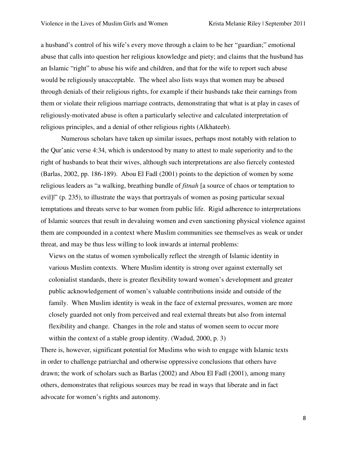a husband's control of his wife's every move through a claim to be her "guardian;" emotional abuse that calls into question her religious knowledge and piety; and claims that the husband has an Islamic "right" to abuse his wife and children, and that for the wife to report such abuse would be religiously unacceptable. The wheel also lists ways that women may be abused through denials of their religious rights, for example if their husbands take their earnings from them or violate their religious marriage contracts, demonstrating that what is at play in cases of religiously-motivated abuse is often a particularly selective and calculated interpretation of religious principles, and a denial of other religious rights (Alkhateeb).

Numerous scholars have taken up similar issues, perhaps most notably with relation to the Qur'anic verse 4:34, which is understood by many to attest to male superiority and to the right of husbands to beat their wives, although such interpretations are also fiercely contested (Barlas, 2002, pp. 186-189). Abou El Fadl (2001) points to the depiction of women by some religious leaders as "a walking, breathing bundle of *fitnah* [a source of chaos or temptation to evil]|" (p. 235), to illustrate the ways that portrayals of women as posing particular sexual temptations and threats serve to bar women from public life. Rigid adherence to interpretations of Islamic sources that result in devaluing women and even sanctioning physical violence against them are compounded in a context where Muslim communities see themselves as weak or under threat, and may be thus less willing to look inwards at internal problems:

Views on the status of women symbolically reflect the strength of Islamic identity in various Muslim contexts. Where Muslim identity is strong over against externally set colonialist standards, there is greater flexibility toward women's development and greater public acknowledgement of women's valuable contributions inside and outside of the family. When Muslim identity is weak in the face of external pressures, women are more closely guarded not only from perceived and real external threats but also from internal flexibility and change. Changes in the role and status of women seem to occur more within the context of a stable group identity. (Wadud, 2000, p. 3)

There is, however, significant potential for Muslims who wish to engage with Islamic texts in order to challenge patriarchal and otherwise oppressive conclusions that others have drawn; the work of scholars such as Barlas (2002) and Abou El Fadl (2001), among many others, demonstrates that religious sources may be read in ways that liberate and in fact advocate for women's rights and autonomy.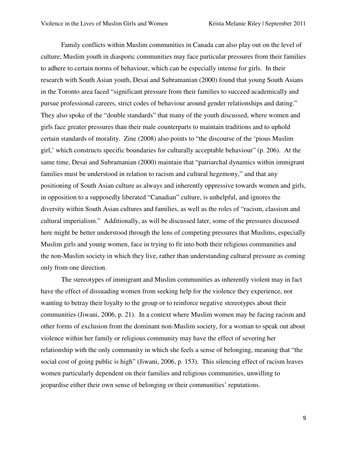Family conflicts within Muslim communities in Canada can also play out on the level of culture; Muslim youth in diasporic communities may face particular pressures from their families to adhere to certain norms of behaviour, which can be especially intense for girls. In their research with South Asian youth, Desai and Subramanian (2000) found that young South Asians in the Toronto area faced "significant pressure from their families to succeed academically and pursue professional careers, strict codes of behaviour around gender relationships and dating." They also spoke of the "double standards" that many of the youth discussed, where women and girls face greater pressures than their male counterparts to maintain traditions and to uphold certain standards of morality. Zine (2008) also points to "the discourse of the 'pious Muslim girl,' which constructs specific boundaries for culturally acceptable behaviour" (p. 206). At the same time, Desai and Subramanian (2000) maintain that "patriarchal dynamics within immigrant families must be understood in relation to racism and cultural hegemony," and that any positioning of South Asian culture as always and inherently oppressive towards women and girls, in opposition to a supposedly liberated "Canadian" culture, is unhelpful, and ignores the diversity within South Asian cultures and families, as well as the roles of "racism, classism and cultural imperialism." Additionally, as will be discussed later, some of the pressures discussed here might be better understood through the lens of competing pressures that Muslims, especially Muslim girls and young women, face in trying to fit into both their religious communities and the non-Muslim society in which they live, rather than understanding cultural pressure as coming only from one direction.

The stereotypes of immigrant and Muslim communities as inherently violent may in fact have the effect of dissuading women from seeking help for the violence they experience, not wanting to betray their loyalty to the group or to reinforce negative stereotypes about their communities (Jiwani, 2006, p. 21). In a context where Muslim women may be facing racism and other forms of exclusion from the dominant non-Muslim society, for a woman to speak out about violence within her family or religious community may have the effect of severing her relationship with the only community in which she feels a sense of belonging, meaning that "the social cost of going public is high" (Jiwani, 2006, p. 153). This silencing effect of racism leaves women particularly dependent on their families and religious communities, unwilling to jeopardise either their own sense of belonging or their communities' reputations.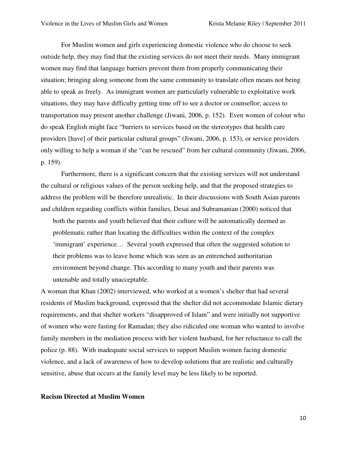For Muslim women and girls experiencing domestic violence who do choose to seek outside help, they may find that the existing services do not meet their needs. Many immigrant women may find that language barriers prevent them from properly communicating their situation; bringing along someone from the same community to translate often means not being able to speak as freely. As immigrant women are particularly vulnerable to exploitative work situations, they may have difficulty getting time off to see a doctor or counsellor; access to transportation may present another challenge (Jiwani, 2006, p. 152). Even women of colour who do speak English might face "barriers to services based on the stereotypes that health care providers [have] of their particular cultural groups" (Jiwani, 2006, p. 153), or service providers only willing to help a woman if she "can be rescued" from her cultural community (Jiwani, 2006, p. 159).

 Furthermore, there is a significant concern that the existing services will not understand the cultural or religious values of the person seeking help, and that the proposed strategies to address the problem will be therefore unrealistic. In their discussions with South Asian parents and children regarding conflicts within families, Desai and Subramanian (2000) noticed that

both the parents and youth believed that their culture will be automatically deemed as problematic rather than locating the difficulties within the context of the complex 'immigrant' experience… Several youth expressed that often the suggested solution to their problems was to leave home which was seen as an entrenched authoritarian environment beyond change. This according to many youth and their parents was untenable and totally unacceptable.

A woman that Khan (2002) interviewed, who worked at a women's shelter that had several residents of Muslim background, expressed that the shelter did not accommodate Islamic dietary requirements, and that shelter workers "disapproved of Islam" and were initially not supportive of women who were fasting for Ramadan; they also ridiculed one woman who wanted to involve family members in the mediation process with her violent husband, for her reluctance to call the police (p. 88). With inadequate social services to support Muslim women facing domestic violence, and a lack of awareness of how to develop solutions that are realistic and culturally sensitive, abuse that occurs at the family level may be less likely to be reported.

## **Racism Directed at Muslim Women**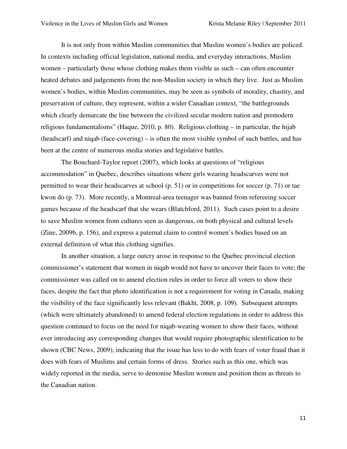It is not only from within Muslim communities that Muslim women's bodies are policed. In contexts including official legislation, national media, and everyday interactions, Muslim women – particularly those whose clothing makes them visible as such – can often encounter heated debates and judgements from the non-Muslim society in which they live. Just as Muslim women's bodies, within Muslim communities, may be seen as symbols of morality, chastity, and preservation of culture, they represent, within a wider Canadian context, "the battlegrounds which clearly demarcate the line between the civilized secular modern nation and premodern religious fundamentalisms" (Haque, 2010, p. 80). Religious clothing – in particular, the hijab (headscarf) and niqab (face-covering) – is often the most visible symbol of such battles, and has been at the centre of numerous media stories and legislative battles.

The Bouchard-Taylor report (2007), which looks at questions of "religious accommodation" in Quebec, describes situations where girls wearing headscarves were not permitted to wear their headscarves at school (p. 51) or in competitions for soccer (p. 71) or tae kwon do (p. 73). More recently, a Montreal-area teenager was banned from refereeing soccer games because of the headscarf that she wears (Blatchford, 2011). Such cases point to a desire to save Muslim women from cultures seen as dangerous, on both physical and cultural levels (Zine, 2009b, p. 156), and express a paternal claim to control women's bodies based on an external definition of what this clothing signifies.

In another situation, a large outcry arose in response to the Quebec provincial election commissioner's statement that women in niqab would not have to uncover their faces to vote; the commissioner was called on to amend election rules in order to force all voters to show their faces, despite the fact that photo identification is not a requirement for voting in Canada, making the visibility of the face significantly less relevant (Bakht, 2008, p. 109). Subsequent attempts (which were ultimately abandoned) to amend federal election regulations in order to address this question continued to focus on the need for niqab-wearing women to show their faces, without ever introducing any corresponding changes that would require photographic identification to be shown (CBC News, 2009), indicating that the issue has less to do with fears of voter fraud than it does with fears of Muslims and certain forms of dress. Stories such as this one, which was widely reported in the media, serve to demonise Muslim women and position them as threats to the Canadian nation.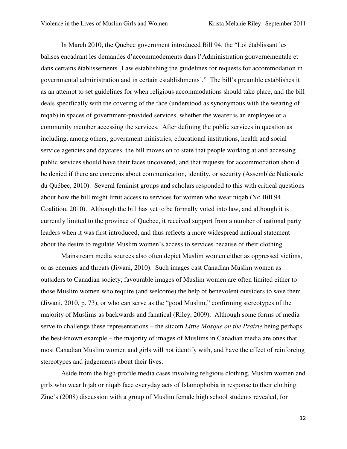In March 2010, the Quebec government introduced Bill 94, the "Loi établissant les balises encadrant les demandes d'accommodements dans l'Administration gouvernementale et dans certains établissements [Law establishing the guidelines for requests for accommodation in governmental administration and in certain establishments]." The bill's preamble establishes it as an attempt to set guidelines for when religious accommodations should take place, and the bill deals specifically with the covering of the face (understood as synonymous with the wearing of niqab) in spaces of government-provided services, whether the wearer is an employee or a community member accessing the services. After defining the public services in question as including, among others, government ministries, educational institutions, health and social service agencies and daycares, the bill moves on to state that people working at and accessing public services should have their faces uncovered, and that requests for accommodation should be denied if there are concerns about communication, identity, or security (Assemblée Nationale du Québec, 2010). Several feminist groups and scholars responded to this with critical questions about how the bill might limit access to services for women who wear niqab (No Bill 94 Coalition, 2010). Although the bill has yet to be formally voted into law, and although it is currently limited to the province of Quebec, it received support from a number of national party leaders when it was first introduced, and thus reflects a more widespread national statement about the desire to regulate Muslim women's access to services because of their clothing.

Mainstream media sources also often depict Muslim women either as oppressed victims, or as enemies and threats (Jiwani, 2010). Such images cast Canadian Muslim women as outsiders to Canadian society; favourable images of Muslim women are often limited either to those Muslim women who require (and welcome) the help of benevolent outsiders to save them (Jiwani, 2010, p. 73), or who can serve as the "good Muslim," confirming stereotypes of the majority of Muslims as backwards and fanatical (Riley, 2009). Although some forms of media serve to challenge these representations – the sitcom *Little Mosque on the Prairie* being perhaps the best-known example – the majority of images of Muslims in Canadian media are ones that most Canadian Muslim women and girls will not identify with, and have the effect of reinforcing stereotypes and judgements about their lives.

Aside from the high-profile media cases involving religious clothing, Muslim women and girls who wear hijab or niqab face everyday acts of Islamophobia in response to their clothing. Zine's (2008) discussion with a group of Muslim female high school students revealed, for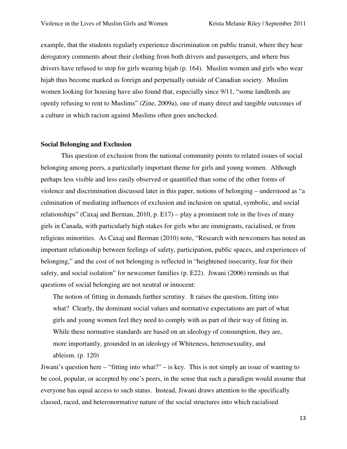example, that the students regularly experience discrimination on public transit, where they hear derogatory comments about their clothing from both drivers and passengers, and where bus drivers have refused to stop for girls wearing hijab (p. 164). Muslim women and girls who wear hijab thus become marked as foreign and perpetually outside of Canadian society. Muslim women looking for housing have also found that, especially since 9/11, "some landlords are openly refusing to rent to Muslims" (Zine, 2009a), one of many direct and tangible outcomes of a culture in which racism against Muslims often goes unchecked.

#### **Social Belonging and Exclusion**

 This question of exclusion from the national community points to related issues of social belonging among peers, a particularly important theme for girls and young women. Although perhaps less visible and less easily observed or quantified than some of the other forms of violence and discrimination discussed later in this paper, notions of belonging – understood as "a culmination of mediating influences of exclusion and inclusion on spatial, symbolic, and social relationships" (Caxaj and Berman, 2010, p. E17) – play a prominent role in the lives of many girls in Canada, with particularly high stakes for girls who are immigrants, racialised, or from religious minorities. As Caxaj and Berman (2010) note, "Research with newcomers has noted an important relationship between feelings of safety, participation, public spaces, and experiences of belonging," and the cost of not belonging is reflected in "heightened insecurity, fear for their safety, and social isolation" for newcomer families (p. E22). Jiwani (2006) reminds us that questions of social belonging are not neutral or innocent:

The notion of fitting in demands further scrutiny. It raises the question, fitting into what? Clearly, the dominant social values and normative expectations are part of what girls and young women feel they need to comply with as part of their way of fitting in. While these normative standards are based on an ideology of consumption, they are, more importantly, grounded in an ideology of Whiteness, heterosexuality, and ableism. (p. 120)

Jiwani's question here – "fitting into what?" – is key. This is not simply an issue of wanting to be cool, popular, or accepted by one's peers, in the sense that such a paradigm would assume that everyone has equal access to such status. Instead, Jiwani draws attention to the specifically classed, raced, and heteronormative nature of the social structures into which racialised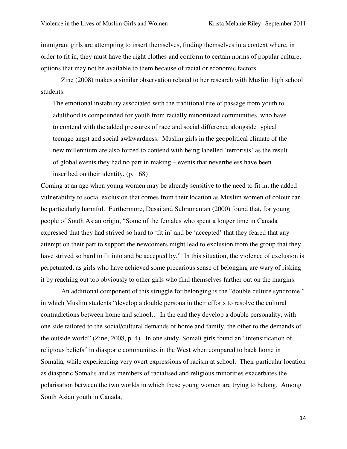immigrant girls are attempting to insert themselves, finding themselves in a context where, in order to fit in, they must have the right clothes and conform to certain norms of popular culture, options that may not be available to them because of racial or economic factors.

Zine (2008) makes a similar observation related to her research with Muslim high school students:

The emotional instability associated with the traditional rite of passage from youth to adulthood is compounded for youth from racially minoritized communities, who have to contend with the added pressures of race and social difference alongside typical teenage angst and social awkwardness. Muslim girls in the geopolitical climate of the new millennium are also forced to contend with being labelled 'terrorists' as the result of global events they had no part in making – events that nevertheless have been inscribed on their identity. (p. 168)

Coming at an age when young women may be already sensitive to the need to fit in, the added vulnerability to social exclusion that comes from their location as Muslim women of colour can be particularly harmful. Furthermore, Desai and Subramanian (2000) found that, for young people of South Asian origin, "Some of the females who spent a longer time in Canada expressed that they had strived so hard to 'fit in' and be 'accepted' that they feared that any attempt on their part to support the newcomers might lead to exclusion from the group that they have strived so hard to fit into and be accepted by." In this situation, the violence of exclusion is perpetuated, as girls who have achieved some precarious sense of belonging are wary of risking it by reaching out too obviously to other girls who find themselves farther out on the margins.

 An additional component of this struggle for belonging is the "double culture syndrome," in which Muslim students "develop a double persona in their efforts to resolve the cultural contradictions between home and school… In the end they develop a double personality, with one side tailored to the social/cultural demands of home and family, the other to the demands of the outside world" (Zine, 2008, p. 4). In one study, Somali girls found an "intensification of religious beliefs" in diasporic communities in the West when compared to back home in Somalia, while experiencing very overt expressions of racism at school. Their particular location as diasporic Somalis and as members of racialised and religious minorities exacerbates the polarisation between the two worlds in which these young women are trying to belong. Among South Asian youth in Canada,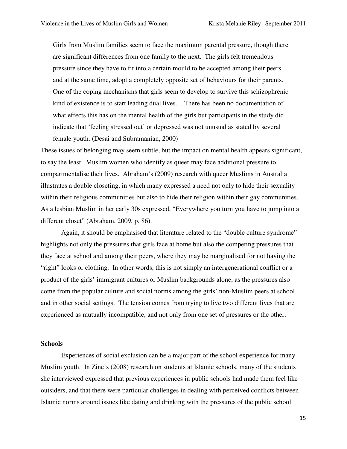Girls from Muslim families seem to face the maximum parental pressure, though there are significant differences from one family to the next. The girls felt tremendous pressure since they have to fit into a certain mould to be accepted among their peers and at the same time, adopt a completely opposite set of behaviours for their parents. One of the coping mechanisms that girls seem to develop to survive this schizophrenic kind of existence is to start leading dual lives… There has been no documentation of what effects this has on the mental health of the girls but participants in the study did indicate that 'feeling stressed out' or depressed was not unusual as stated by several female youth. (Desai and Subramanian, 2000)

These issues of belonging may seem subtle, but the impact on mental health appears significant, to say the least. Muslim women who identify as queer may face additional pressure to compartmentalise their lives. Abraham's (2009) research with queer Muslims in Australia illustrates a double closeting, in which many expressed a need not only to hide their sexuality within their religious communities but also to hide their religion within their gay communities. As a lesbian Muslim in her early 30s expressed, "Everywhere you turn you have to jump into a different closet" (Abraham, 2009, p. 86).

Again, it should be emphasised that literature related to the "double culture syndrome" highlights not only the pressures that girls face at home but also the competing pressures that they face at school and among their peers, where they may be marginalised for not having the "right" looks or clothing. In other words, this is not simply an intergenerational conflict or a product of the girls' immigrant cultures or Muslim backgrounds alone, as the pressures also come from the popular culture and social norms among the girls' non-Muslim peers at school and in other social settings. The tension comes from trying to live two different lives that are experienced as mutually incompatible, and not only from one set of pressures or the other.

#### **Schools**

Experiences of social exclusion can be a major part of the school experience for many Muslim youth. In Zine's (2008) research on students at Islamic schools, many of the students she interviewed expressed that previous experiences in public schools had made them feel like outsiders, and that there were particular challenges in dealing with perceived conflicts between Islamic norms around issues like dating and drinking with the pressures of the public school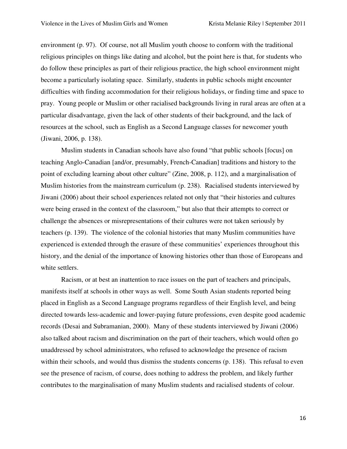environment (p. 97). Of course, not all Muslim youth choose to conform with the traditional religious principles on things like dating and alcohol, but the point here is that, for students who do follow these principles as part of their religious practice, the high school environment might become a particularly isolating space. Similarly, students in public schools might encounter difficulties with finding accommodation for their religious holidays, or finding time and space to pray. Young people or Muslim or other racialised backgrounds living in rural areas are often at a particular disadvantage, given the lack of other students of their background, and the lack of resources at the school, such as English as a Second Language classes for newcomer youth (Jiwani, 2006, p. 138).

Muslim students in Canadian schools have also found "that public schools [focus] on teaching Anglo-Canadian [and/or, presumably, French-Canadian] traditions and history to the point of excluding learning about other culture" (Zine, 2008, p. 112), and a marginalisation of Muslim histories from the mainstream curriculum (p. 238). Racialised students interviewed by Jiwani (2006) about their school experiences related not only that "their histories and cultures were being erased in the context of the classroom," but also that their attempts to correct or challenge the absences or misrepresentations of their cultures were not taken seriously by teachers (p. 139). The violence of the colonial histories that many Muslim communities have experienced is extended through the erasure of these communities' experiences throughout this history, and the denial of the importance of knowing histories other than those of Europeans and white settlers.

Racism, or at best an inattention to race issues on the part of teachers and principals, manifests itself at schools in other ways as well. Some South Asian students reported being placed in English as a Second Language programs regardless of their English level, and being directed towards less-academic and lower-paying future professions, even despite good academic records (Desai and Subramanian, 2000). Many of these students interviewed by Jiwani (2006) also talked about racism and discrimination on the part of their teachers, which would often go unaddressed by school administrators, who refused to acknowledge the presence of racism within their schools, and would thus dismiss the students concerns (p. 138). This refusal to even see the presence of racism, of course, does nothing to address the problem, and likely further contributes to the marginalisation of many Muslim students and racialised students of colour.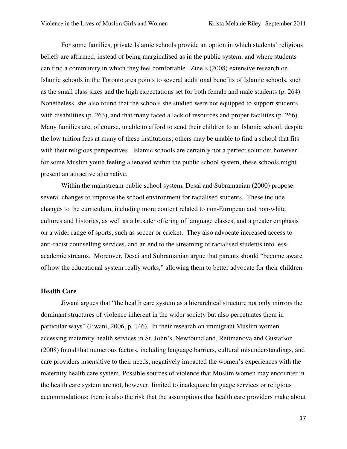For some families, private Islamic schools provide an option in which students' religious beliefs are affirmed, instead of being marginalised as in the public system, and where students can find a community in which they feel comfortable. Zine's (2008) extensive research on Islamic schools in the Toronto area points to several additional benefits of Islamic schools, such as the small class sizes and the high expectations set for both female and male students (p. 264). Nonetheless, she also found that the schools she studied were not equipped to support students with disabilities (p. 263), and that many faced a lack of resources and proper facilities (p. 266). Many families are, of course, unable to afford to send their children to an Islamic school, despite the low tuition fees at many of these institutions; others may be unable to find a school that fits with their religious perspectives. Islamic schools are certainly not a perfect solution; however, for some Muslim youth feeling alienated within the public school system, these schools might present an attractive alternative.

Within the mainstream public school system, Desai and Subramanian (2000) propose several changes to improve the school environment for racialised students. These include changes to the curriculum, including more content related to non-European and non-white cultures and histories, as well as a broader offering of language classes, and a greater emphasis on a wider range of sports, such as soccer or cricket. They also advocate increased access to anti-racist counselling services, and an end to the streaming of racialised students into lessacademic streams. Moreover, Desai and Subramanian argue that parents should "become aware of how the educational system really works," allowing them to better advocate for their children.

# **Health Care**

Jiwani argues that "the health care system as a hierarchical structure not only mirrors the dominant structures of violence inherent in the wider society but also perpetuates them in particular ways" (Jiwani, 2006, p. 146). In their research on immigrant Muslim women accessing maternity health services in St. John's, Newfoundland, Reitmanova and Gustafson (2008) found that numerous factors, including language barriers, cultural misunderstandings, and care providers insensitive to their needs, negatively impacted the women's experiences with the maternity health care system. Possible sources of violence that Muslim women may encounter in the health care system are not, however, limited to inadequate language services or religious accommodations; there is also the risk that the assumptions that health care providers make about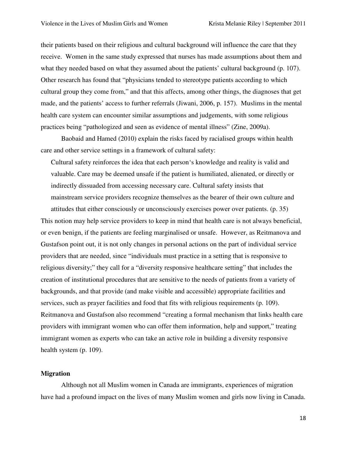their patients based on their religious and cultural background will influence the care that they receive. Women in the same study expressed that nurses has made assumptions about them and what they needed based on what they assumed about the patients' cultural background (p. 107). Other research has found that "physicians tended to stereotype patients according to which cultural group they come from," and that this affects, among other things, the diagnoses that get made, and the patients' access to further referrals (Jiwani, 2006, p. 157). Muslims in the mental health care system can encounter similar assumptions and judgements, with some religious practices being "pathologized and seen as evidence of mental illness" (Zine, 2009a).

Baobaid and Hamed (2010) explain the risks faced by racialised groups within health care and other service settings in a framework of cultural safety:

Cultural safety reinforces the idea that each person's knowledge and reality is valid and valuable. Care may be deemed unsafe if the patient is humiliated, alienated, or directly or indirectly dissuaded from accessing necessary care. Cultural safety insists that mainstream service providers recognize themselves as the bearer of their own culture and attitudes that either consciously or unconsciously exercises power over patients. (p. 35) This notion may help service providers to keep in mind that health care is not always beneficial,

or even benign, if the patients are feeling marginalised or unsafe. However, as Reitmanova and Gustafson point out, it is not only changes in personal actions on the part of individual service providers that are needed, since "individuals must practice in a setting that is responsive to religious diversity;" they call for a "diversity responsive healthcare setting" that includes the creation of institutional procedures that are sensitive to the needs of patients from a variety of backgrounds, and that provide (and make visible and accessible) appropriate facilities and services, such as prayer facilities and food that fits with religious requirements (p. 109). Reitmanova and Gustafson also recommend "creating a formal mechanism that links health care providers with immigrant women who can offer them information, help and support," treating immigrant women as experts who can take an active role in building a diversity responsive health system (p. 109).

#### **Migration**

 Although not all Muslim women in Canada are immigrants, experiences of migration have had a profound impact on the lives of many Muslim women and girls now living in Canada.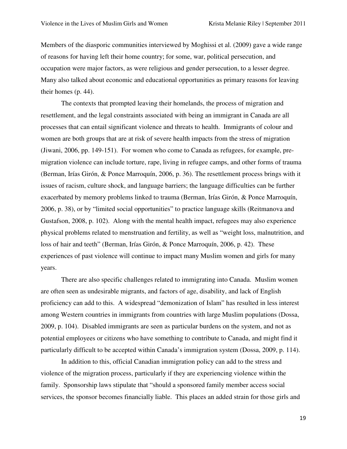Members of the diasporic communities interviewed by Moghissi et al. (2009) gave a wide range of reasons for having left their home country; for some, war, political persecution, and occupation were major factors, as were religious and gender persecution, to a lesser degree. Many also talked about economic and educational opportunities as primary reasons for leaving their homes (p. 44).

The contexts that prompted leaving their homelands, the process of migration and resettlement, and the legal constraints associated with being an immigrant in Canada are all processes that can entail significant violence and threats to health. Immigrants of colour and women are both groups that are at risk of severe health impacts from the stress of migration (Jiwani, 2006, pp. 149-151). For women who come to Canada as refugees, for example, premigration violence can include torture, rape, living in refugee camps, and other forms of trauma (Berman, Irías Girón, & Ponce Marroquín, 2006, p. 36). The resettlement process brings with it issues of racism, culture shock, and language barriers; the language difficulties can be further exacerbated by memory problems linked to trauma (Berman, Irías Girón, & Ponce Marroquín, 2006, p. 38), or by "limited social opportunities" to practice language skills (Reitmanova and Gustafson, 2008, p. 102). Along with the mental health impact, refugees may also experience physical problems related to menstruation and fertility, as well as "weight loss, malnutrition, and loss of hair and teeth" (Berman, Irías Girón, & Ponce Marroquín, 2006, p. 42). These experiences of past violence will continue to impact many Muslim women and girls for many years.

There are also specific challenges related to immigrating into Canada. Muslim women are often seen as undesirable migrants, and factors of age, disability, and lack of English proficiency can add to this. A widespread "demonization of Islam" has resulted in less interest among Western countries in immigrants from countries with large Muslim populations (Dossa, 2009, p. 104). Disabled immigrants are seen as particular burdens on the system, and not as potential employees or citizens who have something to contribute to Canada, and might find it particularly difficult to be accepted within Canada's immigration system (Dossa, 2009, p. 114).

In addition to this, official Canadian immigration policy can add to the stress and violence of the migration process, particularly if they are experiencing violence within the family. Sponsorship laws stipulate that "should a sponsored family member access social services, the sponsor becomes financially liable. This places an added strain for those girls and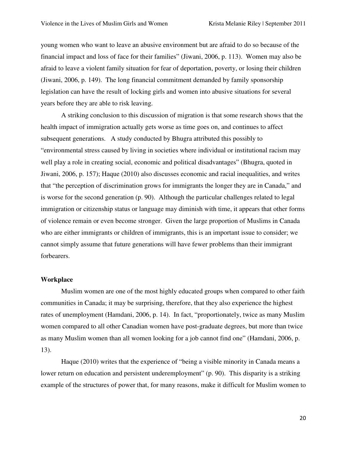young women who want to leave an abusive environment but are afraid to do so because of the financial impact and loss of face for their families" (Jiwani, 2006, p. 113). Women may also be afraid to leave a violent family situation for fear of deportation, poverty, or losing their children (Jiwani, 2006, p. 149). The long financial commitment demanded by family sponsorship legislation can have the result of locking girls and women into abusive situations for several years before they are able to risk leaving.

A striking conclusion to this discussion of migration is that some research shows that the health impact of immigration actually gets worse as time goes on, and continues to affect subsequent generations. A study conducted by Bhugra attributed this possibly to "environmental stress caused by living in societies where individual or institutional racism may well play a role in creating social, economic and political disadvantages" (Bhugra, quoted in Jiwani, 2006, p. 157); Haque (2010) also discusses economic and racial inequalities, and writes that "the perception of discrimination grows for immigrants the longer they are in Canada," and is worse for the second generation (p. 90). Although the particular challenges related to legal immigration or citizenship status or language may diminish with time, it appears that other forms of violence remain or even become stronger. Given the large proportion of Muslims in Canada who are either immigrants or children of immigrants, this is an important issue to consider; we cannot simply assume that future generations will have fewer problems than their immigrant forbearers.

#### **Workplace**

Muslim women are one of the most highly educated groups when compared to other faith communities in Canada; it may be surprising, therefore, that they also experience the highest rates of unemployment (Hamdani, 2006, p. 14). In fact, "proportionately, twice as many Muslim women compared to all other Canadian women have post-graduate degrees, but more than twice as many Muslim women than all women looking for a job cannot find one" (Hamdani, 2006, p. 13).

Haque (2010) writes that the experience of "being a visible minority in Canada means a lower return on education and persistent underemployment" (p. 90). This disparity is a striking example of the structures of power that, for many reasons, make it difficult for Muslim women to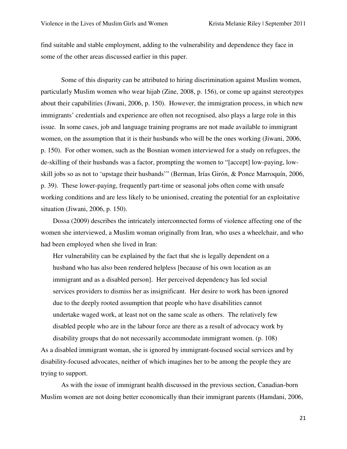find suitable and stable employment, adding to the vulnerability and dependence they face in some of the other areas discussed earlier in this paper.

Some of this disparity can be attributed to hiring discrimination against Muslim women, particularly Muslim women who wear hijab (Zine, 2008, p. 156), or come up against stereotypes about their capabilities (Jiwani, 2006, p. 150). However, the immigration process, in which new immigrants' credentials and experience are often not recognised, also plays a large role in this issue. In some cases, job and language training programs are not made available to immigrant women, on the assumption that it is their husbands who will be the ones working (Jiwani, 2006, p. 150). For other women, such as the Bosnian women interviewed for a study on refugees, the de-skilling of their husbands was a factor, prompting the women to "[accept] low-paying, lowskill jobs so as not to 'upstage their husbands'" (Berman, Irías Girón, & Ponce Marroquín, 2006, p. 39). These lower-paying, frequently part-time or seasonal jobs often come with unsafe working conditions and are less likely to be unionised, creating the potential for an exploitative situation (Jiwani, 2006, p. 150).

Dossa (2009) describes the intricately interconnected forms of violence affecting one of the women she interviewed, a Muslim woman originally from Iran, who uses a wheelchair, and who had been employed when she lived in Iran:

Her vulnerability can be explained by the fact that she is legally dependent on a husband who has also been rendered helpless [because of his own location as an immigrant and as a disabled person]. Her perceived dependency has led social services providers to dismiss her as insignificant. Her desire to work has been ignored due to the deeply rooted assumption that people who have disabilities cannot undertake waged work, at least not on the same scale as others. The relatively few disabled people who are in the labour force are there as a result of advocacy work by

disability groups that do not necessarily accommodate immigrant women. (p. 108) As a disabled immigrant woman, she is ignored by immigrant-focused social services and by disability-focused advocates, neither of which imagines her to be among the people they are trying to support.

 As with the issue of immigrant health discussed in the previous section, Canadian-born Muslim women are not doing better economically than their immigrant parents (Hamdani, 2006,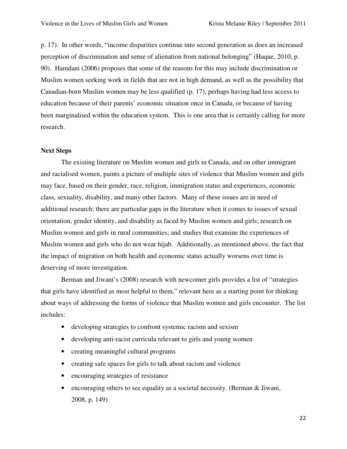p. 17). In other words, "income disparities continue into second generation as does an increased perception of discrimination and sense of alienation from national belonging" (Haque, 2010, p. 90). Hamdani (2006) proposes that some of the reasons for this may include discrimination or Muslim women seeking work in fields that are not in high demand, as well as the possibility that Canadian-born Muslim women may be less qualified (p. 17), perhaps having had less access to education because of their parents' economic situation once in Canada, or because of having been marginalised within the education system. This is one area that is certainly calling for more research.

## **Next Steps**

 The existing literature on Muslim women and girls in Canada, and on other immigrant and racialised women, paints a picture of multiple sites of violence that Muslim women and girls may face, based on their gender, race, religion, immigration status and experiences, economic class, sexuality, disability, and many other factors. Many of these issues are in need of additional research; there are particular gaps in the literature when it comes to issues of sexual orientation, gender identity, and disability as faced by Muslim women and girls; research on Muslim women and girls in rural communities; and studies that examine the experiences of Muslim women and girls who do not wear hijab. Additionally, as mentioned above, the fact that the impact of migration on both health and economic status actually worsens over time is deserving of more investigation.

 Berman and Jiwani's (2008) research with newcomer girls provides a list of "strategies that girls have identified as most helpful to them," relevant here as a starting point for thinking about ways of addressing the forms of violence that Muslim women and girls encounter. The list includes:

- developing strategies to confront systemic racism and sexism
- developing anti-racist curricula relevant to girls and young women
- creating meaningful cultural programs
- creating safe spaces for girls to talk about racism and violence
- encouraging strategies of resistance
- encouraging others to see equality as a societal necessity. (Berman  $&$  Jiwani, 2008, p. 149)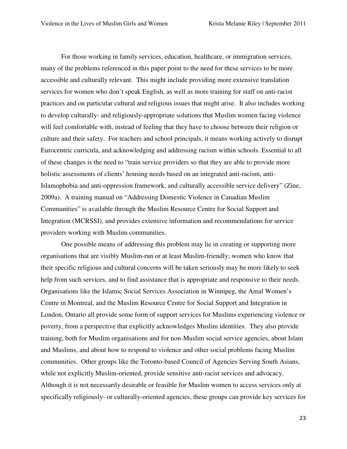For those working in family services, education, healthcare, or immigration services, many of the problems referenced in this paper point to the need for these services to be more accessible and culturally relevant. This might include providing more extensive translation services for women who don't speak English, as well as more training for staff on anti-racist practices and on particular cultural and religious issues that might arise. It also includes working to develop culturally- and religiously-appropriate solutions that Muslim women facing violence will feel comfortable with, instead of feeling that they have to choose between their religion or culture and their safety. For teachers and school principals, it means working actively to disrupt Eurocentric curricula, and acknowledging and addressing racism within schools. Essential to all of these changes is the need to "train service providers so that they are able to provide more holistic assessments of clients' housing needs based on an integrated anti-racism, anti-Islamophobia and anti-oppression framework, and culturally accessible service delivery" (Zine, 2009a). A training manual on "Addressing Domestic Violence in Canadian Muslim Communities" is available through the Muslim Resource Centre for Social Support and Integration (MCRSSI), and provides extensive information and recommendations for service providers working with Muslim communities.

One possible means of addressing this problem may lie in creating or supporting more organisations that are visibly Muslim-run or at least Muslim-friendly; women who know that their specific religious and cultural concerns will be taken seriously may be more likely to seek help from such services, and to find assistance that is appropriate and responsive to their needs. Organisations like the Islamic Social Services Association in Winnipeg, the Amal Women's Centre in Montreal, and the Muslim Resource Centre for Social Support and Integration in London, Ontario all provide some form of support services for Muslims experiencing violence or poverty, from a perspective that explicitly acknowledges Muslim identities. They also provide training, both for Muslim organisations and for non-Muslim social service agencies, about Islam and Muslims, and about how to respond to violence and other social problems facing Muslim communities. Other groups like the Toronto-based Council of Agencies Serving South Asians, while not explicitly Muslim-oriented, provide sensitive anti-racist services and advocacy. Although it is not necessarily desirable or feasible for Muslim women to access services only at specifically religiously- or culturally-oriented agencies, these groups can provide key services for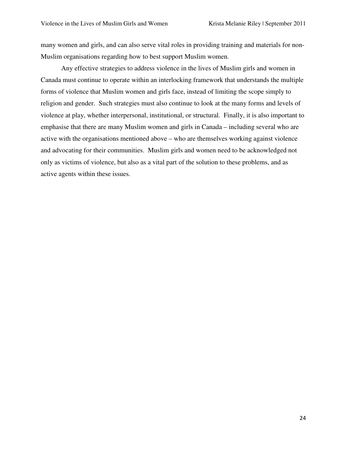many women and girls, and can also serve vital roles in providing training and materials for non-Muslim organisations regarding how to best support Muslim women.

Any effective strategies to address violence in the lives of Muslim girls and women in Canada must continue to operate within an interlocking framework that understands the multiple forms of violence that Muslim women and girls face, instead of limiting the scope simply to religion and gender. Such strategies must also continue to look at the many forms and levels of violence at play, whether interpersonal, institutional, or structural. Finally, it is also important to emphasise that there are many Muslim women and girls in Canada – including several who are active with the organisations mentioned above – who are themselves working against violence and advocating for their communities. Muslim girls and women need to be acknowledged not only as victims of violence, but also as a vital part of the solution to these problems, and as active agents within these issues.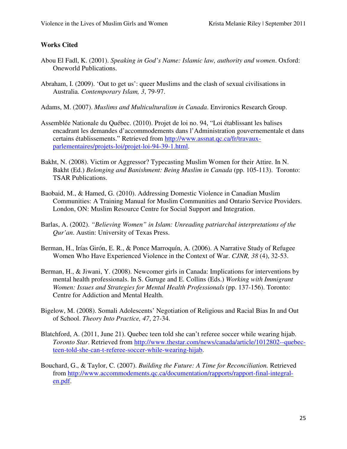# **Works Cited**

- Abou El Fadl, K. (2001). *Speaking in God's Name: Islamic law, authority and women*. Oxford: Oneworld Publications.
- Abraham, I. (2009). 'Out to get us': queer Muslims and the clash of sexual civilisations in Australia. *Contemporary Islam, 3*, 79-97.
- Adams, M. (2007). *Muslims and Multiculturalism in Canada*. Environics Research Group.
- Assemblée Nationale du Québec. (2010). Projet de loi no. 94, "Loi établissant les balises encadrant les demandes d'accommodements dans l'Administration gouvernementale et dans certains établissements." Retrieved from http://www.assnat.qc.ca/fr/travauxparlementaires/projets-loi/projet-loi-94-39-1.html.
- Bakht, N. (2008). Victim or Aggressor? Typecasting Muslim Women for their Attire. In N. Bakht (Ed.) *Belonging and Banishment: Being Muslim in Canada* (pp. 105-113). Toronto: TSAR Publications.
- Baobaid, M., & Hamed, G. (2010). Addressing Domestic Violence in Canadian Muslim Communities: A Training Manual for Muslim Communities and Ontario Service Providers. London, ON: Muslim Resource Centre for Social Support and Integration.
- Barlas, A. (2002). *"Believing Women" in Islam: Unreading patriarchal interpretations of the Qur'an*. Austin: University of Texas Press.
- Berman, H., Irías Girón, E. R., & Ponce Marroquín, A. (2006). A Narrative Study of Refugee Women Who Have Experienced Violence in the Context of War. *CJNR, 38* (4), 32-53.
- Berman, H., & Jiwani, Y. (2008). Newcomer girls in Canada: Implications for interventions by mental health professionals. In S. Guruge and E. Collins (Eds.) *Working with Immigrant Women: Issues and Strategies for Mental Health Professionals* (pp. 137-156). Toronto: Centre for Addiction and Mental Health.
- Bigelow, M. (2008). Somali Adolescents' Negotiation of Religious and Racial Bias In and Out of School. *Theory Into Practice, 47*, 27-34.
- Blatchford, A. (2011, June 21). Quebec teen told she can't referee soccer while wearing hijab. *Toronto Star*. Retrieved from http://www.thestar.com/news/canada/article/1012802--quebecteen-told-she-can-t-referee-soccer-while-wearing-hijab.
- Bouchard, G., & Taylor, C. (2007). *Building the Future: A Time for Reconciliation.* Retrieved from http://www.accommodements.qc.ca/documentation/rapports/rapport-final-integralen.pdf.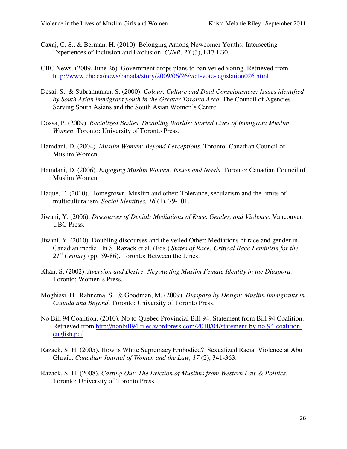- Caxaj, C. S., & Berman, H. (2010). Belonging Among Newcomer Youths: Intersecting Experiences of Inclusion and Exclusion. *CJNR, 23* (3), E17-E30.
- CBC News. (2009, June 26). Government drops plans to ban veiled voting. Retrieved from http://www.cbc.ca/news/canada/story/2009/06/26/veil-vote-legislation026.html.
- Desai, S., & Subramanian, S. (2000). *Colour, Culture and Dual Consciousness: Issues identified by South Asian immigrant youth in the Greater Toronto Area*. The Council of Agencies Serving South Asians and the South Asian Women's Centre.
- Dossa, P. (2009). *Racialized Bodies, Disabling Worlds: Storied Lives of Immigrant Muslim Women*. Toronto: University of Toronto Press.
- Hamdani, D. (2004). *Muslim Women: Beyond Perceptions*. Toronto: Canadian Council of Muslim Women.
- Hamdani, D. (2006). *Engaging Muslim Women: Issues and Needs*. Toronto: Canadian Council of Muslim Women.
- Haque, E. (2010). Homegrown, Muslim and other: Tolerance, secularism and the limits of multiculturalism. *Social Identities, 16* (1), 79-101.
- Jiwani, Y. (2006). *Discourses of Denial: Mediations of Race, Gender, and Violence*. Vancouver: UBC Press.
- Jiwani, Y. (2010). Doubling discourses and the veiled Other: Mediations of race and gender in Canadian media. In S. Razack et al. (Eds.) *States of Race: Critical Race Feminism for the 21st Century* (pp. 59-86). Toronto: Between the Lines.
- Khan, S. (2002). *Aversion and Desire: Negotiating Muslim Female Identity in the Diaspora.* Toronto: Women's Press.
- Moghissi, H., Rahnema, S., & Goodman, M. (2009). *Diaspora by Design: Muslim Immigrants in Canada and Beyond*. Toronto: University of Toronto Press.
- No Bill 94 Coalition. (2010). No to Quebec Provincial Bill 94: Statement from Bill 94 Coalition. Retrieved from http://nonbill94.files.wordpress.com/2010/04/statement-by-no-94-coalitionenglish.pdf.
- Razack, S. H. (2005). How is White Supremacy Embodied? Sexualized Racial Violence at Abu Ghraib. *Canadian Journal of Women and the Law, 17* (2), 341-363.
- Razack, S. H. (2008). *Casting Out: The Eviction of Muslims from Western Law & Politics*. Toronto: University of Toronto Press.